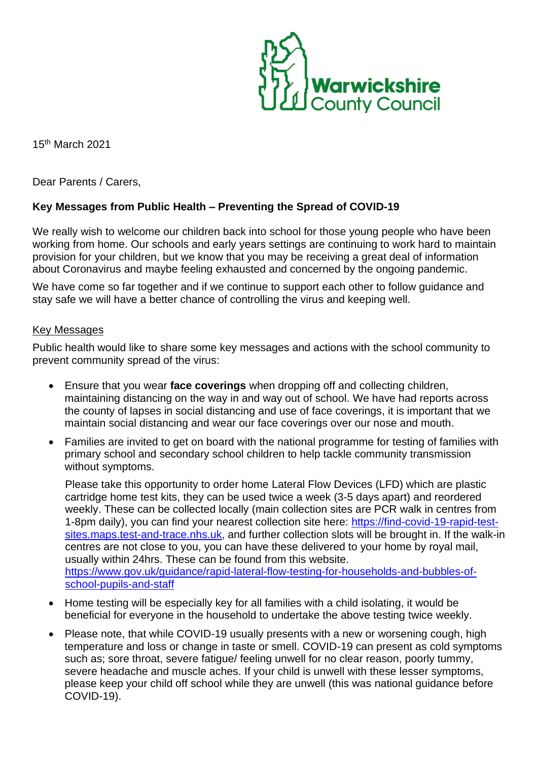

15 th March 2021

Dear Parents / Carers,

## **Key Messages from Public Health – Preventing the Spread of COVID-19**

We really wish to welcome our children back into school for those young people who have been working from home. Our schools and early years settings are continuing to work hard to maintain provision for your children, but we know that you may be receiving a great deal of information about Coronavirus and maybe feeling exhausted and concerned by the ongoing pandemic.

We have come so far together and if we continue to support each other to follow guidance and stay safe we will have a better chance of controlling the virus and keeping well.

## Key Messages

Public health would like to share some key messages and actions with the school community to prevent community spread of the virus:

- Ensure that you wear **face coverings** when dropping off and collecting children, maintaining distancing on the way in and way out of school. We have had reports across the county of lapses in social distancing and use of face coverings, it is important that we maintain social distancing and wear our face coverings over our nose and mouth.
- Families are invited to get on board with the national programme for testing of families with primary school and secondary school children to help tackle community transmission without symptoms.

Please take this opportunity to order home Lateral Flow Devices (LFD) which are plastic cartridge home test kits, they can be used twice a week (3-5 days apart) and reordered weekly. These can be collected locally (main collection sites are PCR walk in centres from 1-8pm daily), you can find your nearest collection site here: [https://find-covid-19-rapid-test](https://find-covid-19-rapid-test-sites.maps.test-and-trace.nhs.uk/)[sites.maps.test-and-trace.nhs.uk,](https://find-covid-19-rapid-test-sites.maps.test-and-trace.nhs.uk/) and further collection slots will be brought in. If the walk-in centres are not close to you, you can have these delivered to your home by royal mail, usually within 24hrs. These can be found from this website. [https://www.gov.uk/guidance/rapid-lateral-flow-testing-for-households-and-bubbles-of](https://www.gov.uk/guidance/rapid-lateral-flow-testing-for-households-and-bubbles-of-school-pupils-and-staff)[school-pupils-and-staff](https://www.gov.uk/guidance/rapid-lateral-flow-testing-for-households-and-bubbles-of-school-pupils-and-staff)

- Home testing will be especially key for all families with a child isolating, it would be beneficial for everyone in the household to undertake the above testing twice weekly.
- Please note, that while COVID-19 usually presents with a new or worsening cough, high temperature and loss or change in taste or smell. COVID-19 can present as cold symptoms such as; sore throat, severe fatigue/ feeling unwell for no clear reason, poorly tummy, severe headache and muscle aches. If your child is unwell with these lesser symptoms, please keep your child off school while they are unwell (this was national guidance before COVID-19).